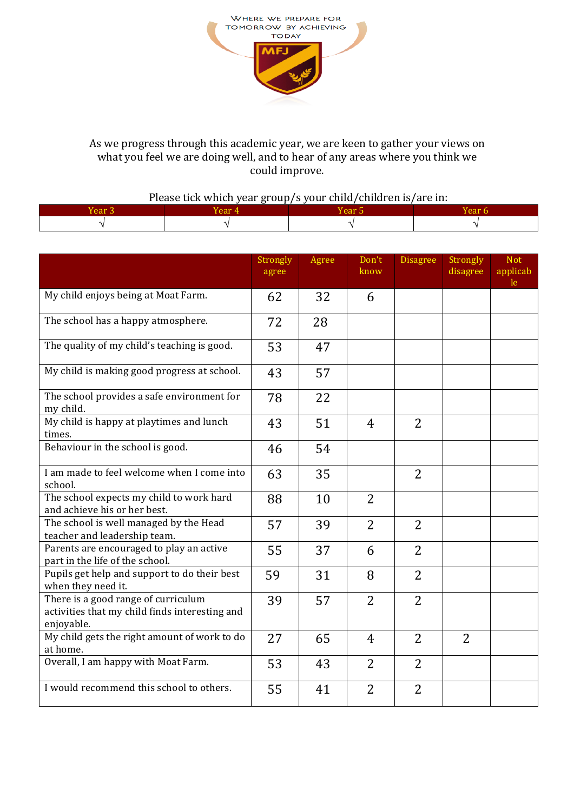

## As we progress through this academic year, we are keen to gather your views on what you feel we are doing well, and to hear of any areas where you think we could improve.

## Please tick which year group/s your child/children is/are in:

| 'ear | ear 4' | $Vear$ . | . .<br>$V_{\alpha\alpha\beta\gamma}$ |
|------|--------|----------|--------------------------------------|
|      |        |          |                                      |

|                                                                                                     | Strongly<br>agree | Agree | Don't<br>know  | <b>Disagree</b> | Strongly<br>disagree | <b>Not</b><br>applicab<br>le |
|-----------------------------------------------------------------------------------------------------|-------------------|-------|----------------|-----------------|----------------------|------------------------------|
| My child enjoys being at Moat Farm.                                                                 | 62                | 32    | 6              |                 |                      |                              |
| The school has a happy atmosphere.                                                                  | 72                | 28    |                |                 |                      |                              |
| The quality of my child's teaching is good.                                                         | 53                | 47    |                |                 |                      |                              |
| My child is making good progress at school.                                                         | 43                | 57    |                |                 |                      |                              |
| The school provides a safe environment for<br>my child.                                             | 78                | 22    |                |                 |                      |                              |
| My child is happy at playtimes and lunch<br>times.                                                  | 43                | 51    | $\overline{4}$ | $\overline{2}$  |                      |                              |
| Behaviour in the school is good.                                                                    | 46                | 54    |                |                 |                      |                              |
| I am made to feel welcome when I come into<br>school.                                               | 63                | 35    |                | $\overline{2}$  |                      |                              |
| The school expects my child to work hard<br>and achieve his or her best.                            | 88                | 10    | $\overline{2}$ |                 |                      |                              |
| The school is well managed by the Head<br>teacher and leadership team.                              | 57                | 39    | $\overline{2}$ | $\overline{2}$  |                      |                              |
| Parents are encouraged to play an active<br>part in the life of the school.                         | 55                | 37    | 6              | 2               |                      |                              |
| Pupils get help and support to do their best<br>when they need it.                                  | 59                | 31    | 8              | $\overline{2}$  |                      |                              |
| There is a good range of curriculum<br>activities that my child finds interesting and<br>enjoyable. | 39                | 57    | $\overline{2}$ | $\overline{2}$  |                      |                              |
| My child gets the right amount of work to do<br>at home.                                            | 27                | 65    | $\overline{4}$ | $\overline{2}$  | 2                    |                              |
| Overall, I am happy with Moat Farm.                                                                 | 53                | 43    | $\overline{2}$ | $\overline{2}$  |                      |                              |
| I would recommend this school to others.                                                            | 55                | 41    | $\overline{2}$ | $\overline{2}$  |                      |                              |